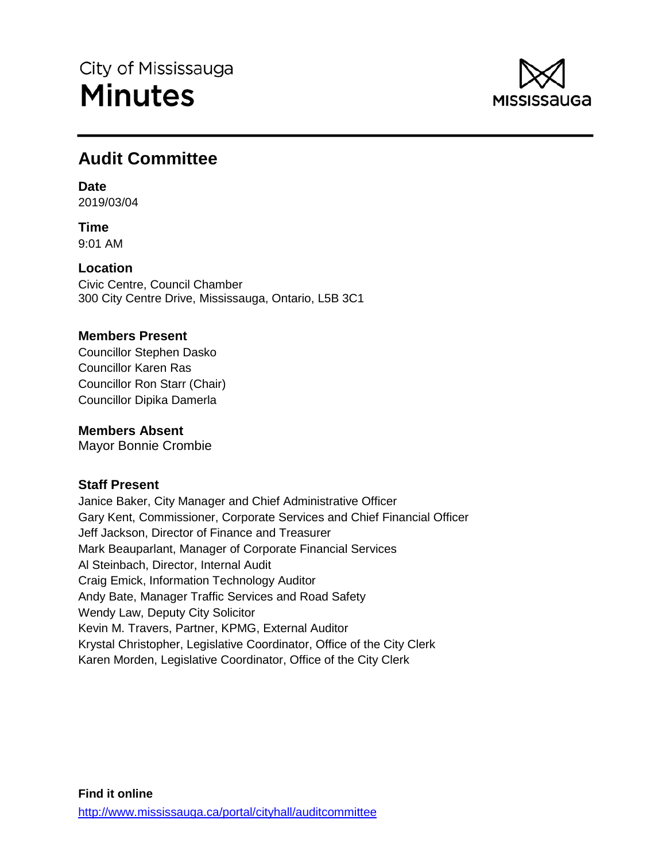

# **Audit Committee**

# **Date**

2019/03/04

**Time** 9:01 AM

**Location**

Civic Centre, Council Chamber 300 City Centre Drive, Mississauga, Ontario, L5B 3C1

# **Members Present**

Councillor Stephen Dasko Councillor Karen Ras Councillor Ron Starr (Chair) Councillor Dipika Damerla

# **Members Absent**

Mayor Bonnie Crombie

# **Staff Present**

Janice Baker, City Manager and Chief Administrative Officer Gary Kent, Commissioner, Corporate Services and Chief Financial Officer Jeff Jackson, Director of Finance and Treasurer Mark Beauparlant, Manager of Corporate Financial Services Al Steinbach, Director, Internal Audit Craig Emick, Information Technology Auditor Andy Bate, Manager Traffic Services and Road Safety Wendy Law, Deputy City Solicitor Kevin M. Travers, Partner, KPMG, External Auditor Krystal Christopher, Legislative Coordinator, Office of the City Clerk Karen Morden, Legislative Coordinator, Office of the City Clerk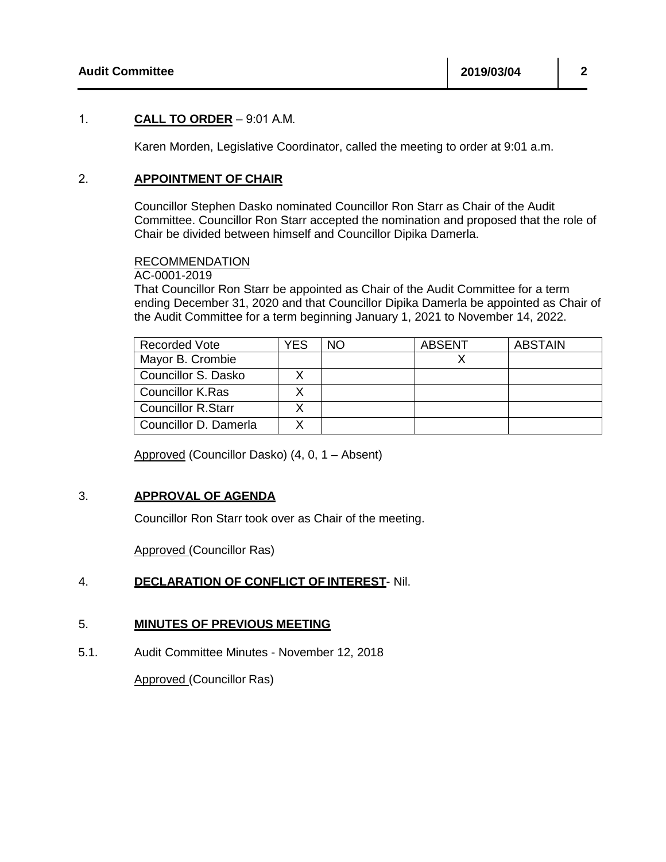## 1. **CALL TO ORDER** – 9:01 A.M.

Karen Morden, Legislative Coordinator, called the meeting to order at 9:01 a.m.

### 2. **APPOINTMENT OF CHAIR**

Councillor Stephen Dasko nominated Councillor Ron Starr as Chair of the Audit Committee. Councillor Ron Starr accepted the nomination and proposed that the role of Chair be divided between himself and Councillor Dipika Damerla.

#### RECOMMENDATION

AC-0001-2019

That Councillor Ron Starr be appointed as Chair of the Audit Committee for a term ending December 31, 2020 and that Councillor Dipika Damerla be appointed as Chair of the Audit Committee for a term beginning January 1, 2021 to November 14, 2022.

| <b>Recorded Vote</b>    | YES | NO. | ABSENT | <b>ABSTAIN</b> |
|-------------------------|-----|-----|--------|----------------|
| Mayor B. Crombie        |     |     |        |                |
| Councillor S. Dasko     |     |     |        |                |
| <b>Councillor K.Ras</b> |     |     |        |                |
| Councillor R.Starr      |     |     |        |                |
| Councillor D. Damerla   |     |     |        |                |

Approved (Councillor Dasko) (4, 0, 1 – Absent)

## 3. **APPROVAL OF AGENDA**

Councillor Ron Starr took over as Chair of the meeting.

Approved (Councillor Ras)

## 4. **DECLARATION OF CONFLICT OF INTEREST**- Nil.

#### 5. **MINUTES OF PREVIOUS MEETING**

5.1. Audit Committee Minutes - November 12, 2018

Approved (Councillor Ras)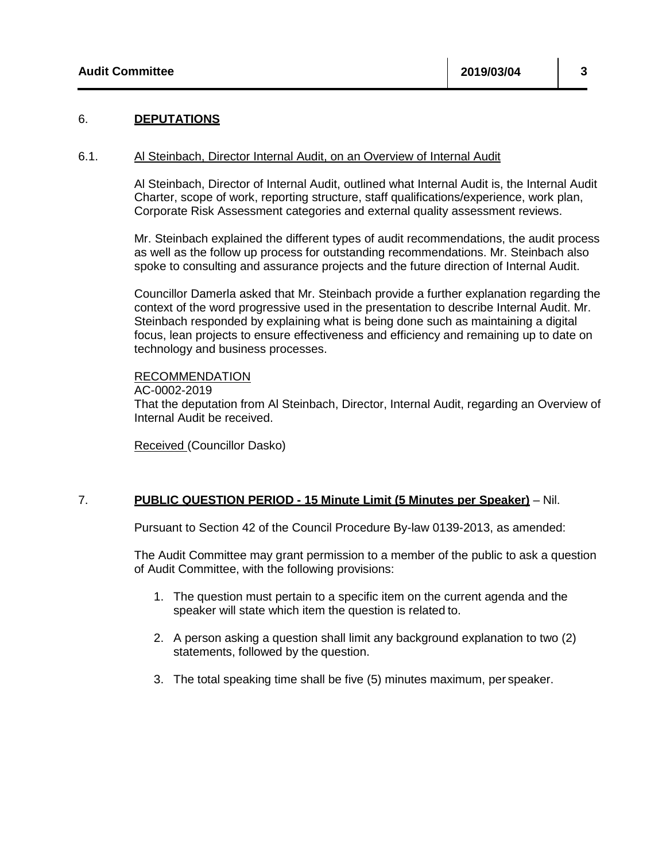#### 6. **DEPUTATIONS**

#### 6.1. Al Steinbach, Director Internal Audit, on an Overview of Internal Audit

Al Steinbach, Director of Internal Audit, outlined what Internal Audit is, the Internal Audit Charter, scope of work, reporting structure, staff qualifications/experience, work plan, Corporate Risk Assessment categories and external quality assessment reviews.

Mr. Steinbach explained the different types of audit recommendations, the audit process as well as the follow up process for outstanding recommendations. Mr. Steinbach also spoke to consulting and assurance projects and the future direction of Internal Audit.

Councillor Damerla asked that Mr. Steinbach provide a further explanation regarding the context of the word progressive used in the presentation to describe Internal Audit. Mr. Steinbach responded by explaining what is being done such as maintaining a digital focus, lean projects to ensure effectiveness and efficiency and remaining up to date on technology and business processes.

#### RECOMMENDATION

AC-0002-2019

That the deputation from Al Steinbach, Director, Internal Audit, regarding an Overview of Internal Audit be received.

Received (Councillor Dasko)

#### 7. **PUBLIC QUESTION PERIOD - 15 Minute Limit (5 Minutes per Speaker)** – Nil.

Pursuant to Section 42 of the Council Procedure By-law 0139-2013, as amended:

The Audit Committee may grant permission to a member of the public to ask a question of Audit Committee, with the following provisions:

- 1. The question must pertain to a specific item on the current agenda and the speaker will state which item the question is related to.
- 2. A person asking a question shall limit any background explanation to two (2) statements, followed by the question.
- 3. The total speaking time shall be five (5) minutes maximum, per speaker.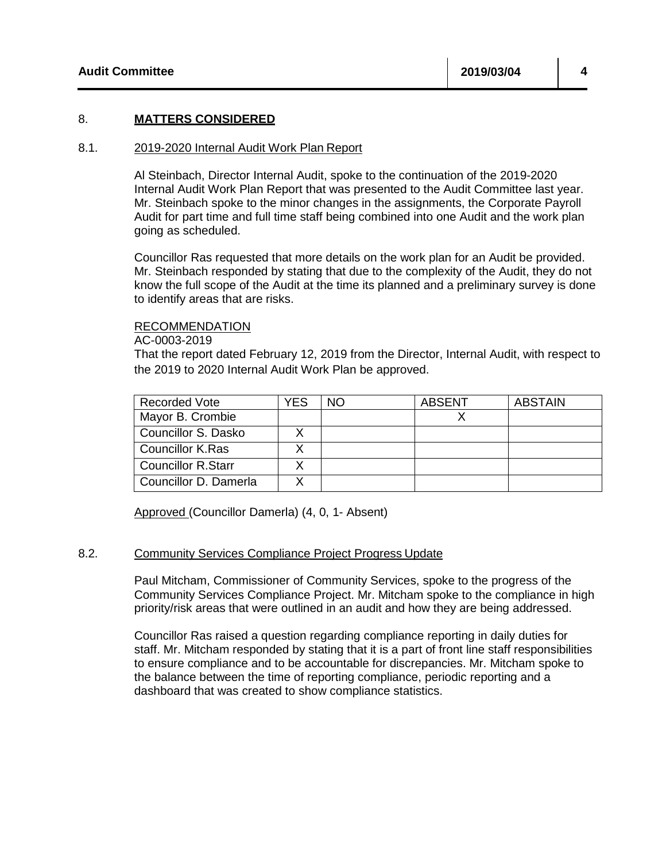#### 8. **MATTERS CONSIDERED**

#### 8.1. 2019-2020 Internal Audit Work Plan Report

Al Steinbach, Director Internal Audit, spoke to the continuation of the 2019-2020 Internal Audit Work Plan Report that was presented to the Audit Committee last year. Mr. Steinbach spoke to the minor changes in the assignments, the Corporate Payroll Audit for part time and full time staff being combined into one Audit and the work plan going as scheduled.

Councillor Ras requested that more details on the work plan for an Audit be provided. Mr. Steinbach responded by stating that due to the complexity of the Audit, they do not know the full scope of the Audit at the time its planned and a preliminary survey is done to identify areas that are risks.

#### RECOMMENDATION

AC-0003-2019

That the report dated February 12, 2019 from the Director, Internal Audit, with respect to the 2019 to 2020 Internal Audit Work Plan be approved.

| <b>Recorded Vote</b>      | YES | NΟ | <b>ABSENT</b> | <b>ABSTAIN</b> |
|---------------------------|-----|----|---------------|----------------|
| Mayor B. Crombie          |     |    |               |                |
| Councillor S. Dasko       |     |    |               |                |
| Councillor K.Ras          |     |    |               |                |
| <b>Councillor R.Starr</b> |     |    |               |                |
| Councillor D. Damerla     |     |    |               |                |

Approved (Councillor Damerla) (4, 0, 1- Absent)

#### 8.2. Community Services Compliance Project Progress Update

Paul Mitcham, Commissioner of Community Services, spoke to the progress of the Community Services Compliance Project. Mr. Mitcham spoke to the compliance in high priority/risk areas that were outlined in an audit and how they are being addressed.

Councillor Ras raised a question regarding compliance reporting in daily duties for staff. Mr. Mitcham responded by stating that it is a part of front line staff responsibilities to ensure compliance and to be accountable for discrepancies. Mr. Mitcham spoke to the balance between the time of reporting compliance, periodic reporting and a dashboard that was created to show compliance statistics.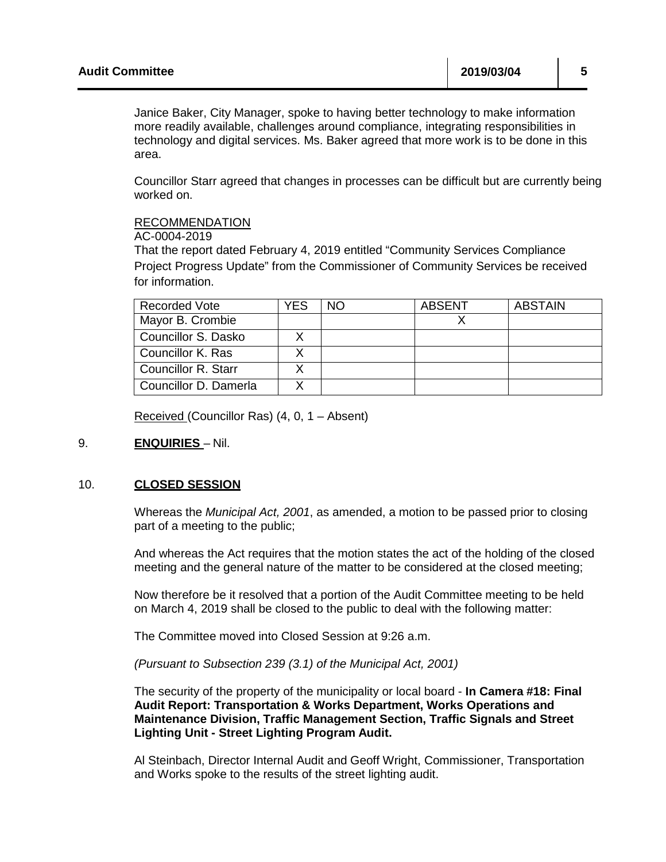| <b>Audit Committee</b> | 2019/03/04 |  |  |  |
|------------------------|------------|--|--|--|
|                        |            |  |  |  |

Janice Baker, City Manager, spoke to having better technology to make information more readily available, challenges around compliance, integrating responsibilities in technology and digital services. Ms. Baker agreed that more work is to be done in this area.

 $\mathbf{L}$ 

 $\mathbf{r}$ 

Councillor Starr agreed that changes in processes can be difficult but are currently being worked on.

#### RECOMMENDATION

AC-0004-2019

That the report dated February 4, 2019 entitled "Community Services Compliance Project Progress Update" from the Commissioner of Community Services be received for information.

| <b>Recorded Vote</b>  | YES | NΟ | <b>ABSENT</b> | <b>ABSTAIN</b> |
|-----------------------|-----|----|---------------|----------------|
| Mayor B. Crombie      |     |    |               |                |
| Councillor S. Dasko   |     |    |               |                |
| Councillor K. Ras     |     |    |               |                |
| Councillor R. Starr   |     |    |               |                |
| Councillor D. Damerla |     |    |               |                |

Received (Councillor Ras) (4, 0, 1 – Absent)

## 9. **ENQUIRIES** – Nil.

#### 10. **CLOSED SESSION**

Whereas the *Municipal Act, 2001*, as amended, a motion to be passed prior to closing part of a meeting to the public;

And whereas the Act requires that the motion states the act of the holding of the closed meeting and the general nature of the matter to be considered at the closed meeting;

Now therefore be it resolved that a portion of the Audit Committee meeting to be held on March 4, 2019 shall be closed to the public to deal with the following matter:

The Committee moved into Closed Session at 9:26 a.m.

*(Pursuant to Subsection 239 (3.1) of the Municipal Act, 2001)*

The security of the property of the municipality or local board - **In Camera #18: Final Audit Report: Transportation & Works Department, Works Operations and Maintenance Division, Traffic Management Section, Traffic Signals and Street Lighting Unit - Street Lighting Program Audit.** 

Al Steinbach, Director Internal Audit and Geoff Wright, Commissioner, Transportation and Works spoke to the results of the street lighting audit.